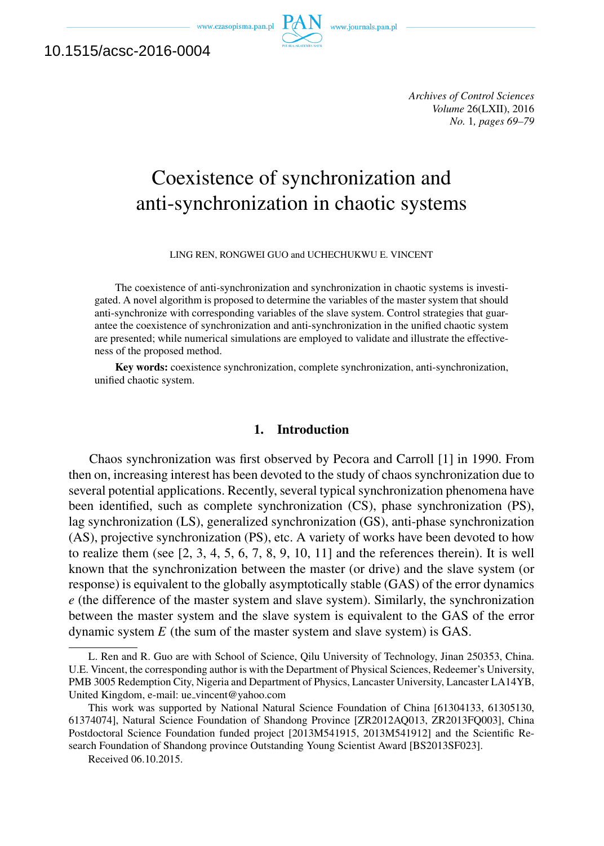www.czasopisma.pan.pl



10.1515/acsc-2016-0004

*Archives of Control Sciences Volume* 26(LXII), 2016 *No.* 1*, pages 69–79*

# Coexistence of synchronization and anti-synchronization in chaotic systems

LING REN, RONGWEI GUO and UCHECHUKWU E. VINCENT

The coexistence of anti-synchronization and synchronization in chaotic systems is investigated. A novel algorithm is proposed to determine the variables of the master system that should anti-synchronize with corresponding variables of the slave system. Control strategies that guarantee the coexistence of synchronization and anti-synchronization in the unified chaotic system are presented; while numerical simulations are employed to validate and illustrate the effectiveness of the proposed method.

Key words: coexistence synchronization, complete synchronization, anti-synchronization, unified chaotic system.

# 1. Introduction

Chaos synchronization was first observed by Pecora and Carroll [1] in 1990. From then on, increasing interest has been devoted to the study of chaos synchronization due to several potential applications. Recently, several typical synchronization phenomena have been identified, such as complete synchronization (CS), phase synchronization (PS), lag synchronization (LS), generalized synchronization (GS), anti-phase synchronization (AS), projective synchronization (PS), etc. A variety of works have been devoted to how to realize them (see [2, 3, 4, 5, 6, 7, 8, 9, 10, 11] and the references therein). It is well known that the synchronization between the master (or drive) and the slave system (or response) is equivalent to the globally asymptotically stable (GAS) of the error dynamics *e* (the difference of the master system and slave system). Similarly, the synchronization between the master system and the slave system is equivalent to the GAS of the error dynamic system *E* (the sum of the master system and slave system) is GAS.

Received 06.10.2015.

L. Ren and R. Guo are with School of Science, Qilu University of Technology, Jinan 250353, China. U.E. Vincent, the corresponding author is with the Department of Physical Sciences, Redeemer's University, PMB 3005 Redemption City, Nigeria and Department of Physics, Lancaster University, Lancaster LA14YB, United Kingdom, e-mail: ue\_vincent@yahoo.com

This work was supported by National Natural Science Foundation of China [61304133, 61305130, 61374074], Natural Science Foundation of Shandong Province [ZR2012AQ013, ZR2013FQ003], China Postdoctoral Science Foundation funded project [2013M541915, 2013M541912] and the Scientific Research Foundation of Shandong province Outstanding Young Scientist Award [BS2013SF023].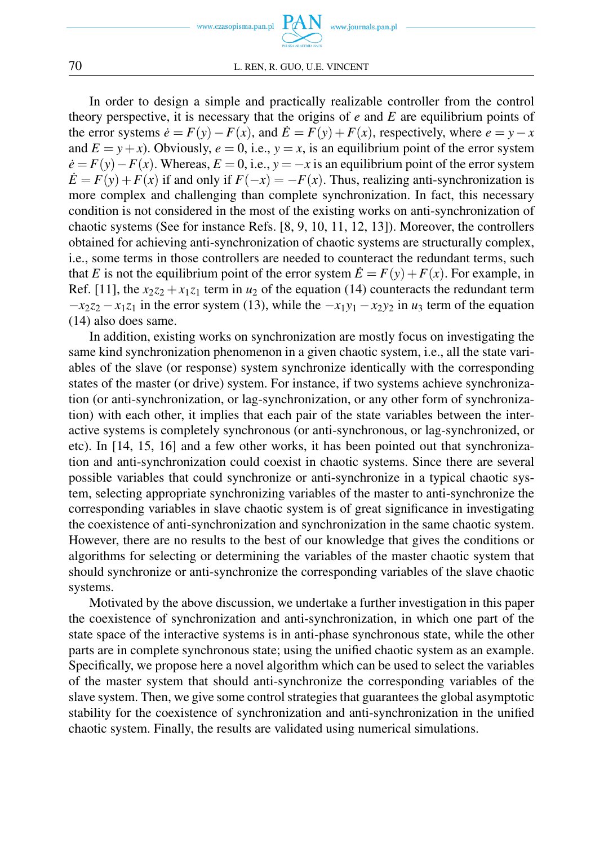



In order to design a simple and practically realizable controller from the control theory perspective, it is necessary that the origins of *e* and *E* are equilibrium points of the error systems  $\dot{e} = F(y) - F(x)$ , and  $\dot{E} = F(y) + F(x)$ , respectively, where  $e = y - x$ and  $E = y + x$ ). Obviously,  $e = 0$ , i.e.,  $y = x$ , is an equilibrium point of the error system  $\dot{e}$  =  $F(y) - F(x)$ . Whereas,  $E = 0$ , i.e.,  $y = -x$  is an equilibrium point of the error system  $\dot{E} = F(y) + F(x)$  if and only if  $F(-x) = -F(x)$ . Thus, realizing anti-synchronization is more complex and challenging than complete synchronization. In fact, this necessary condition is not considered in the most of the existing works on anti-synchronization of chaotic systems (See for instance Refs. [8, 9, 10, 11, 12, 13]). Moreover, the controllers obtained for achieving anti-synchronization of chaotic systems are structurally complex, i.e., some terms in those controllers are needed to counteract the redundant terms, such that *E* is not the equilibrium point of the error system  $\vec{E} = F(y) + F(x)$ . For example, in Ref. [11], the  $x_2z_2 + x_1z_1$  term in  $u_2$  of the equation (14) counteracts the redundant term  $-x_2z_2 - x_1z_1$  in the error system (13), while the  $-x_1y_1 - x_2y_2$  in *u*<sub>3</sub> term of the equation (14) also does same.

In addition, existing works on synchronization are mostly focus on investigating the same kind synchronization phenomenon in a given chaotic system, i.e., all the state variables of the slave (or response) system synchronize identically with the corresponding states of the master (or drive) system. For instance, if two systems achieve synchronization (or anti-synchronization, or lag-synchronization, or any other form of synchronization) with each other, it implies that each pair of the state variables between the interactive systems is completely synchronous (or anti-synchronous, or lag-synchronized, or etc). In [14, 15, 16] and a few other works, it has been pointed out that synchronization and anti-synchronization could coexist in chaotic systems. Since there are several possible variables that could synchronize or anti-synchronize in a typical chaotic system, selecting appropriate synchronizing variables of the master to anti-synchronize the corresponding variables in slave chaotic system is of great significance in investigating the coexistence of anti-synchronization and synchronization in the same chaotic system. However, there are no results to the best of our knowledge that gives the conditions or algorithms for selecting or determining the variables of the master chaotic system that should synchronize or anti-synchronize the corresponding variables of the slave chaotic systems.

Motivated by the above discussion, we undertake a further investigation in this paper the coexistence of synchronization and anti-synchronization, in which one part of the state space of the interactive systems is in anti-phase synchronous state, while the other parts are in complete synchronous state; using the unified chaotic system as an example. Specifically, we propose here a novel algorithm which can be used to select the variables of the master system that should anti-synchronize the corresponding variables of the slave system. Then, we give some control strategies that guarantees the global asymptotic stability for the coexistence of synchronization and anti-synchronization in the unified chaotic system. Finally, the results are validated using numerical simulations.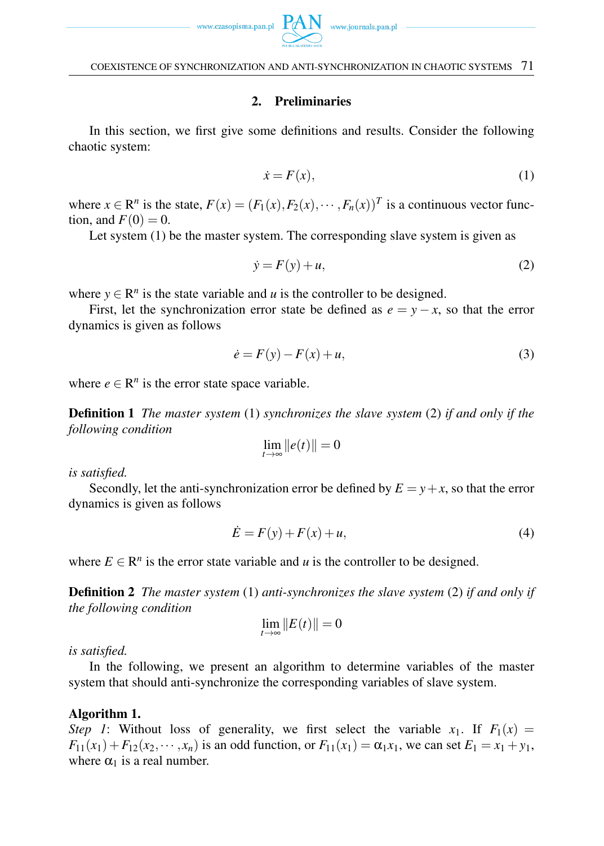## 2. Preliminaries

In this section, we first give some definitions and results. Consider the following chaotic system:

$$
\dot{x} = F(x),\tag{1}
$$

where  $x \in \mathbb{R}^n$  is the state,  $F(x) = (F_1(x), F_2(x), \dots, F_n(x))^T$  is a continuous vector function, and  $F(0) = 0$ .

Let system (1) be the master system. The corresponding slave system is given as

$$
\dot{y} = F(y) + u,\tag{2}
$$

where  $y \in \mathbb{R}^n$  is the state variable and *u* is the controller to be designed.

First, let the synchronization error state be defined as  $e = y - x$ , so that the error dynamics is given as follows

$$
\dot{e} = F(y) - F(x) + u,\tag{3}
$$

where  $e \in \mathbb{R}^n$  is the error state space variable.

Definition 1 *The master system* (1) *synchronizes the slave system* (2) *if and only if the following condition*

$$
\lim_{t\to\infty}||e(t)||=0
$$

*is satisfied.*

Secondly, let the anti-synchronization error be defined by  $E = y + x$ , so that the error dynamics is given as follows

$$
\dot{E} = F(y) + F(x) + u,\tag{4}
$$

where  $E \in \mathbb{R}^n$  is the error state variable and *u* is the controller to be designed.

Definition 2 *The master system* (1) *anti-synchronizes the slave system* (2) *if and only if the following condition*

$$
\lim_{t\to\infty}||E(t)||=0
$$

*is satisfied.*

In the following, we present an algorithm to determine variables of the master system that should anti-synchronize the corresponding variables of slave system.

## Algorithm 1.

*Step 1*: Without loss of generality, we first select the variable  $x_1$ . If  $F_1(x) =$  $F_{11}(x_1) + F_{12}(x_2, \dots, x_n)$  is an odd function, or  $F_{11}(x_1) = \alpha_1 x_1$ , we can set  $E_1 = x_1 + y_1$ , where  $\alpha_1$  is a real number.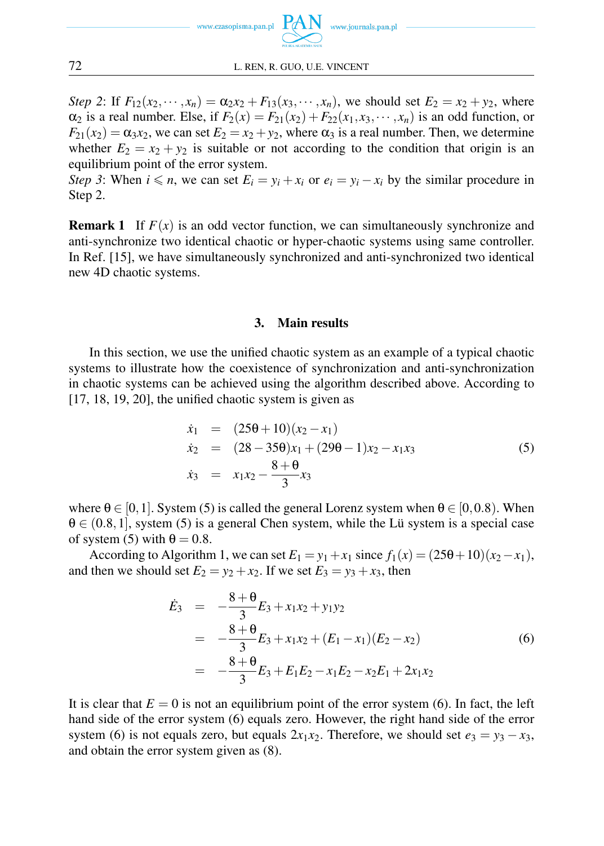

*Step 2*: If  $F_{12}(x_2, \dots, x_n) = \alpha_2 x_2 + F_{13}(x_3, \dots, x_n)$ , we should set  $E_2 = x_2 + y_2$ , where  $\alpha_2$  is a real number. Else, if  $F_2(x) = F_{21}(x_2) + F_{22}(x_1, x_3, \dots, x_n)$  is an odd function, or  $F_{21}(x_2) = \alpha_3 x_2$ , we can set  $E_2 = x_2 + y_2$ , where  $\alpha_3$  is a real number. Then, we determine whether  $E_2 = x_2 + y_2$  is suitable or not according to the condition that origin is an equilibrium point of the error system.

*Step 3*: When  $i \le n$ , we can set  $E_i = y_i + x_i$  or  $e_i = y_i - x_i$  by the similar procedure in Step 2.

**Remark 1** If  $F(x)$  is an odd vector function, we can simultaneously synchronize and anti-synchronize two identical chaotic or hyper-chaotic systems using same controller. In Ref. [15], we have simultaneously synchronized and anti-synchronized two identical new 4D chaotic systems.

## 3. Main results

In this section, we use the unified chaotic system as an example of a typical chaotic systems to illustrate how the coexistence of synchronization and anti-synchronization in chaotic systems can be achieved using the algorithm described above. According to  $[17, 18, 19, 20]$ , the unified chaotic system is given as

$$
\dot{x}_1 = (25\theta + 10)(x_2 - x_1) \n\dot{x}_2 = (28 - 35\theta)x_1 + (29\theta - 1)x_2 - x_1x_3 \n\dot{x}_3 = x_1x_2 - \frac{8 + \theta}{3}x_3
$$
\n(5)

where  $\theta \in [0,1]$ . System (5) is called the general Lorenz system when  $\theta \in [0,0.8)$ . When θ *∈* (0*.*8*,*1], system (5) is a general Chen system, while the Lü system is a special case of system (5) with  $\theta = 0.8$ .

According to Algorithm 1, we can set  $E_1 = y_1 + x_1$  since  $f_1(x) = (250 + 10)(x_2 - x_1)$ , and then we should set  $E_2 = y_2 + x_2$ . If we set  $E_3 = y_3 + x_3$ , then

$$
\dot{E}_3 = -\frac{8+ \theta}{3} E_3 + x_1 x_2 + y_1 y_2
$$
  
=  $-\frac{8+ \theta}{3} E_3 + x_1 x_2 + (E_1 - x_1)(E_2 - x_2)$  (6)  
=  $-\frac{8+ \theta}{3} E_3 + E_1 E_2 - x_1 E_2 - x_2 E_1 + 2x_1 x_2$ 

It is clear that  $E = 0$  is not an equilibrium point of the error system (6). In fact, the left hand side of the error system (6) equals zero. However, the right hand side of the error system (6) is not equals zero, but equals  $2x_1x_2$ . Therefore, we should set  $e_3 = y_3 - x_3$ , and obtain the error system given as (8).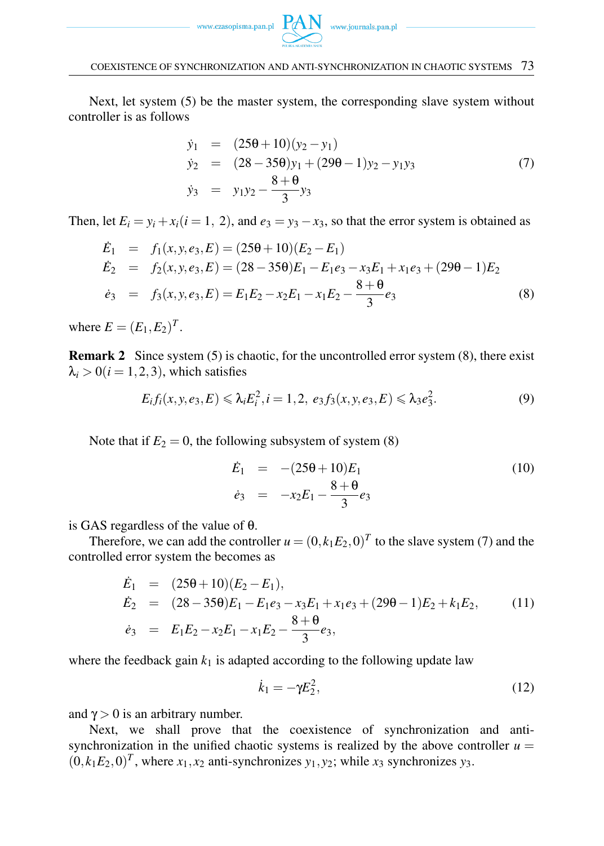

Next, let system (5) be the master system, the corresponding slave system without controller is as follows

$$
\dot{y}_1 = (250 + 10)(y_2 - y_1) \n\dot{y}_2 = (28 - 350)y_1 + (290 - 1)y_2 - y_1y_3 \n\dot{y}_3 = y_1y_2 - \frac{8 + 0}{3}y_3
$$
\n(7)

Then, let  $E_i = y_i + x_i (i = 1, 2)$ , and  $e_3 = y_3 - x_3$ , so that the error system is obtained as

$$
\dot{E}_1 = f_1(x, y, e_3, E) = (250 + 10)(E_2 - E_1)
$$
\n
$$
\dot{E}_2 = f_2(x, y, e_3, E) = (28 - 350)E_1 - E_1e_3 - x_3E_1 + x_1e_3 + (290 - 1)E_2
$$
\n
$$
\dot{e}_3 = f_3(x, y, e_3, E) = E_1E_2 - x_2E_1 - x_1E_2 - \frac{8 + \theta}{3}e_3 \tag{8}
$$

where  $E = (E_1, E_2)^T$ .

Remark 2 Since system (5) is chaotic, for the uncontrolled error system (8), there exist  $\lambda_i > 0$  (*i* = 1, 2, 3), which satisfies

$$
E_i f_i(x, y, e_3, E) \le \lambda_i E_i^2, i = 1, 2, e_3 f_3(x, y, e_3, E) \le \lambda_3 e_3^2.
$$
 (9)

Note that if  $E_2 = 0$ , the following subsystem of system (8)

$$
\dot{E}_1 = -(25\theta + 10)E_1 \n\dot{e}_3 = -x_2E_1 - \frac{8+\theta}{3}e_3
$$
\n(10)

is GAS regardless of the value of θ.

Therefore, we can add the controller  $u = (0, k_1 E_2, 0)^T$  to the slave system (7) and the controlled error system the becomes as

$$
\dot{E}_1 = (25\theta + 10)(E_2 - E_1), \n\dot{E}_2 = (28 - 35\theta)E_1 - E_1e_3 - x_3E_1 + x_1e_3 + (29\theta - 1)E_2 + k_1E_2, \n\dot{e}_3 = E_1E_2 - x_2E_1 - x_1E_2 - \frac{8 + \theta}{3}e_3,
$$
\n(11)

where the feedback gain  $k_1$  is adapted according to the following update law

$$
\dot{k}_1 = -\gamma E_2^2,\tag{12}
$$

and  $\gamma > 0$  is an arbitrary number.

Next, we shall prove that the coexistence of synchronization and antisynchronization in the unified chaotic systems is realized by the above controller  $u =$  $(0, k_1 E_2, 0)^T$ , where  $x_1, x_2$  anti-synchronizes  $y_1, y_2$ ; while  $x_3$  synchronizes  $y_3$ .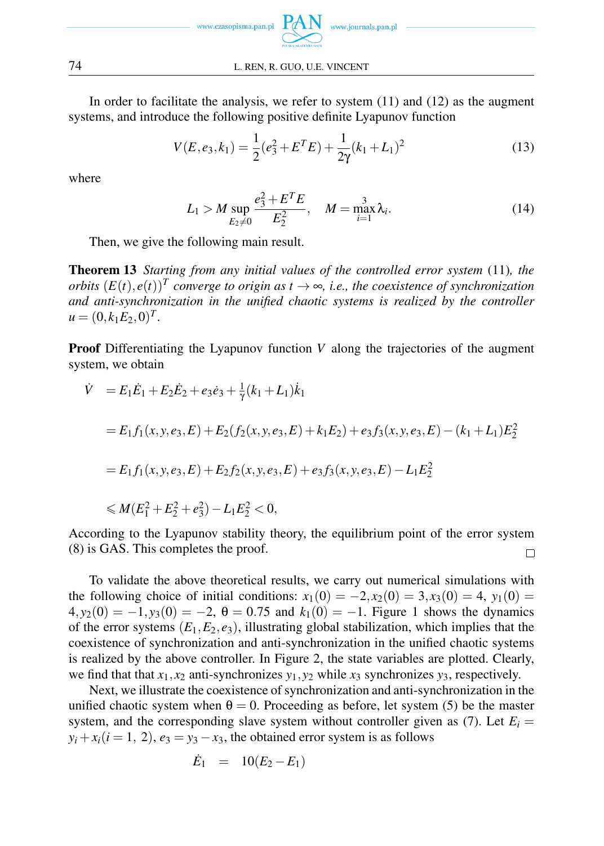

In order to facilitate the analysis, we refer to system (11) and (12) as the augment systems, and introduce the following positive definite Lyapunov function

$$
V(E, e_3, k_1) = \frac{1}{2}(e_3^2 + E^T E) + \frac{1}{2\gamma}(k_1 + L_1)^2
$$
\n(13)

where

$$
L_1 > M \sup_{E_2 \neq 0} \frac{e_3^2 + E^T E}{E_2^2}, \quad M = \max_{i=1}^3 \lambda_i.
$$
 (14)

Then, we give the following main result.

Theorem 13 *Starting from any initial values of the controlled error system* (11)*, the orbits*  $(E(t), e(t))^T$  converge to origin as  $t \to \infty$ , i.e., the coexistence of synchronization *and anti-synchronization in the unified chaotic systems is realized by the controller*  $u = (0, k_1 E_2, 0)^T$ .

**Proof** Differentiating the Lyapunov function *V* along the trajectories of the augment system, we obtain

$$
\dot{V} = E_1 \dot{E}_1 + E_2 \dot{E}_2 + e_3 \dot{e}_3 + \frac{1}{\gamma} (k_1 + L_1) \dot{k}_1
$$
  
\n
$$
= E_1 f_1(x, y, e_3, E) + E_2(f_2(x, y, e_3, E) + k_1 E_2) + e_3 f_3(x, y, e_3, E) - (k_1 + L_1) E_2^2
$$
  
\n
$$
= E_1 f_1(x, y, e_3, E) + E_2 f_2(x, y, e_3, E) + e_3 f_3(x, y, e_3, E) - L_1 E_2^2
$$
  
\n
$$
\leq M(E_1^2 + E_2^2 + e_3^2) - L_1 E_2^2 < 0,
$$

According to the Lyapunov stability theory, the equilibrium point of the error system (8) is GAS. This completes the proof.  $\Box$ 

To validate the above theoretical results, we carry out numerical simulations with the following choice of initial conditions:  $x_1(0) = -2, x_2(0) = 3, x_3(0) = 4, y_1(0) = 0$  $4, y_2(0) = -1, y_3(0) = -2, \theta = 0.75$  and  $k_1(0) = -1$ . Figure 1 shows the dynamics of the error systems  $(E_1, E_2, e_3)$ , illustrating global stabilization, which implies that the coexistence of synchronization and anti-synchronization in the unified chaotic systems is realized by the above controller. In Figure 2, the state variables are plotted. Clearly, we find that that  $x_1, x_2$  anti-synchronizes  $y_1, y_2$  while  $x_3$  synchronizes  $y_3$ , respectively.

Next, we illustrate the coexistence of synchronization and anti-synchronization in the unified chaotic system when  $\theta = 0$ . Proceeding as before, let system (5) be the master system, and the corresponding slave system without controller given as (7). Let  $E_i$  =  $y_i + x_i(i = 1, 2), e_3 = y_3 - x_3$ , the obtained error system is as follows

$$
\dot{E}_1 = 10(E_2 - E_1)
$$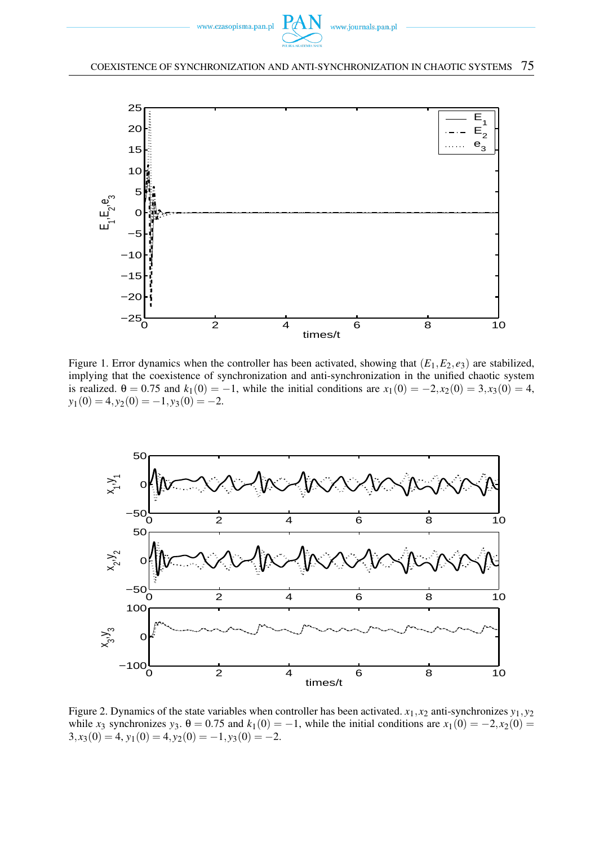



Figure 1. Error dynamics when the controller has been activated, showing that  $(E_1, E_2, e_3)$  are stabilized, implying that the coexistence of synchronization and anti-synchronization in the unified chaotic system is realized.  $\theta = 0.75$  and  $k_1(0) = -1$ , while the initial conditions are  $x_1(0) = -2, x_2(0) = 3, x_3(0) = 4$ ,  $y_1(0) = 4, y_2(0) = -1, y_3(0) = -2.$ 



Figure 2. Dynamics of the state variables when controller has been activated.  $x_1, x_2$  anti-synchronizes  $y_1, y_2$ while *x*<sub>3</sub> synchronizes *y*<sub>3</sub>.  $\theta = 0.75$  and  $k_1(0) = -1$ , while the initial conditions are  $x_1(0) = -2, x_2(0) =$  $3, x_3(0) = 4, y_1(0) = 4, y_2(0) = -1, y_3(0) = -2.$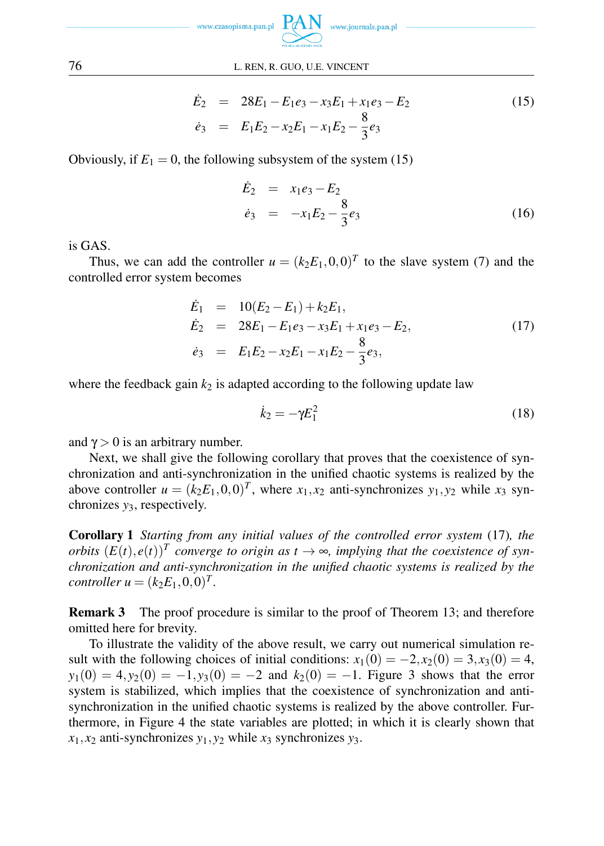

#### 76 L. REN, R. GUO, U.E. VINCENT

$$
\dot{E}_2 = 28E_1 - E_1e_3 - x_3E_1 + x_1e_3 - E_2 \n\dot{e}_3 = E_1E_2 - x_2E_1 - x_1E_2 - \frac{8}{3}e_3
$$
\n(15)

Obviously, if  $E_1 = 0$ , the following subsystem of the system (15)

$$
\dot{E}_2 = x_1 e_3 - E_2 \n\dot{e}_3 = -x_1 E_2 - \frac{8}{3} e_3
$$
\n(16)

is GAS.

Thus, we can add the controller  $u = (k_2 E_1, 0, 0)^T$  to the slave system (7) and the controlled error system becomes

$$
\begin{array}{rcl}\n\dot{E}_1 & = & 10(E_2 - E_1) + k_2 E_1, \\
\dot{E}_2 & = & 28E_1 - E_1 e_3 - x_3 E_1 + x_1 e_3 - E_2, \\
\dot{e}_3 & = & E_1 E_2 - x_2 E_1 - x_1 E_2 - \frac{8}{3} e_3,\n\end{array} \tag{17}
$$

where the feedback gain  $k_2$  is adapted according to the following update law

$$
\dot{k}_2 = -\gamma E_1^2 \tag{18}
$$

and  $\gamma > 0$  is an arbitrary number.

Next, we shall give the following corollary that proves that the coexistence of synchronization and anti-synchronization in the unified chaotic systems is realized by the above controller  $u = (k_2 E_1, 0, 0)^T$ , where  $x_1, x_2$  anti-synchronizes  $y_1, y_2$  while  $x_3$  synchronizes *y*3, respectively.

Corollary 1 *Starting from any initial values of the controlled error system* (17)*, the orbits*  $(E(t), e(t))^T$  converge to origin as  $t \to \infty$ , implying that the coexistence of syn*chronization and anti-synchronization in the unified chaotic systems is realized by the controller*  $u = (k_2 E_1, 0, 0)^T$ .

Remark 3 The proof procedure is similar to the proof of Theorem 13; and therefore omitted here for brevity.

To illustrate the validity of the above result, we carry out numerical simulation result with the following choices of initial conditions:  $x_1(0) = -2, x_2(0) = 3, x_3(0) = 4$ ,  $y_1(0) = 4, y_2(0) = -1, y_3(0) = -2$  and  $k_2(0) = -1$ . Figure 3 shows that the error system is stabilized, which implies that the coexistence of synchronization and antisynchronization in the unified chaotic systems is realized by the above controller. Furthermore, in Figure 4 the state variables are plotted; in which it is clearly shown that  $x_1, x_2$  anti-synchronizes  $y_1, y_2$  while  $x_3$  synchronizes  $y_3$ .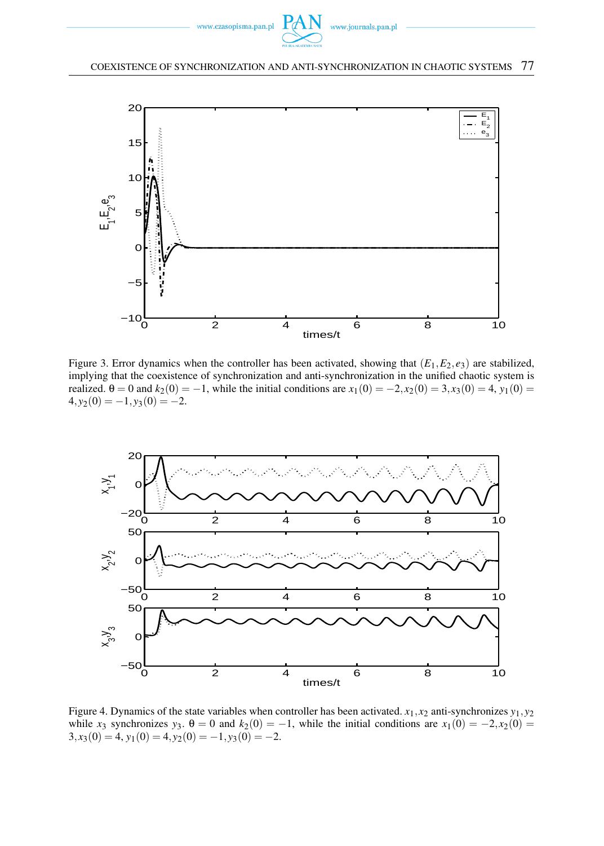



Figure 3. Error dynamics when the controller has been activated, showing that  $(E_1, E_2, e_3)$  are stabilized, implying that the coexistence of synchronization and anti-synchronization in the unified chaotic system is realized. θ = 0 and  $k_2(0) = -1$ , while the initial conditions are  $x_1(0) = -2, x_2(0) = 3, x_3(0) = 4, y_1(0) = 0$  $4, y_2(0) = -1, y_3(0) = -2.$ 



Figure 4. Dynamics of the state variables when controller has been activated.  $x_1, x_2$  anti-synchronizes  $y_1, y_2$ while *x*<sub>3</sub> synchronizes *y*<sub>3</sub>.  $\theta = 0$  and  $k_2(0) = -1$ , while the initial conditions are  $x_1(0) = -2, x_2(0) =$  $3, x_3(0) = 4, y_1(0) = 4, y_2(0) = -1, y_3(0) = -2.$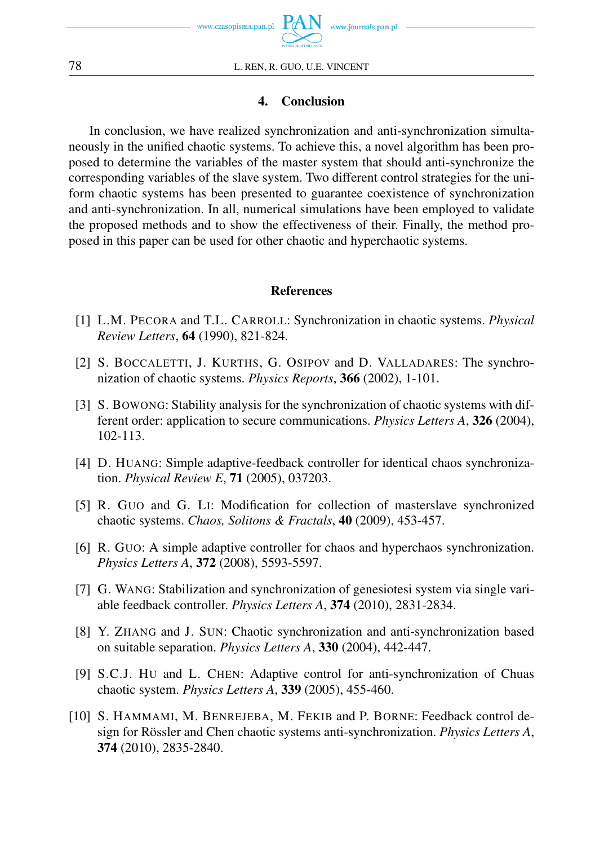

### 4. Conclusion

In conclusion, we have realized synchronization and anti-synchronization simultaneously in the unified chaotic systems. To achieve this, a novel algorithm has been proposed to determine the variables of the master system that should anti-synchronize the corresponding variables of the slave system. Two different control strategies for the uniform chaotic systems has been presented to guarantee coexistence of synchronization and anti-synchronization. In all, numerical simulations have been employed to validate the proposed methods and to show the effectiveness of their. Finally, the method proposed in this paper can be used for other chaotic and hyperchaotic systems.

### References

- [1] L.M. PECORA and T.L. CARROLL: Synchronization in chaotic systems. *Physical Review Letters*, 64 (1990), 821-824.
- [2] S. BOCCALETTI, J. KURTHS, G. OSIPOV and D. VALLADARES: The synchronization of chaotic systems. *Physics Reports*, 366 (2002), 1-101.
- [3] S. BOWONG: Stability analysis for the synchronization of chaotic systems with different order: application to secure communications. *Physics Letters A*, 326 (2004), 102-113.
- [4] D. HUANG: Simple adaptive-feedback controller for identical chaos synchronization. *Physical Review E*, 71 (2005), 037203.
- [5] R. GUO and G. LI: Modification for collection of masterslave synchronized chaotic systems. *Chaos, Solitons & Fractals*, 40 (2009), 453-457.
- [6] R. GUO: A simple adaptive controller for chaos and hyperchaos synchronization. *Physics Letters A*, 372 (2008), 5593-5597.
- [7] G. WANG: Stabilization and synchronization of genesiotesi system via single variable feedback controller. *Physics Letters A*, 374 (2010), 2831-2834.
- [8] Y. ZHANG and J. SUN: Chaotic synchronization and anti-synchronization based on suitable separation. *Physics Letters A*, 330 (2004), 442-447.
- [9] S.C.J. HU and L. CHEN: Adaptive control for anti-synchronization of Chuas chaotic system. *Physics Letters A*, 339 (2005), 455-460.
- [10] S. HAMMAMI, M. BENREJEBA, M. FEKIB and P. BORNE: Feedback control design for Rössler and Chen chaotic systems anti-synchronization. *Physics Letters A*, 374 (2010), 2835-2840.